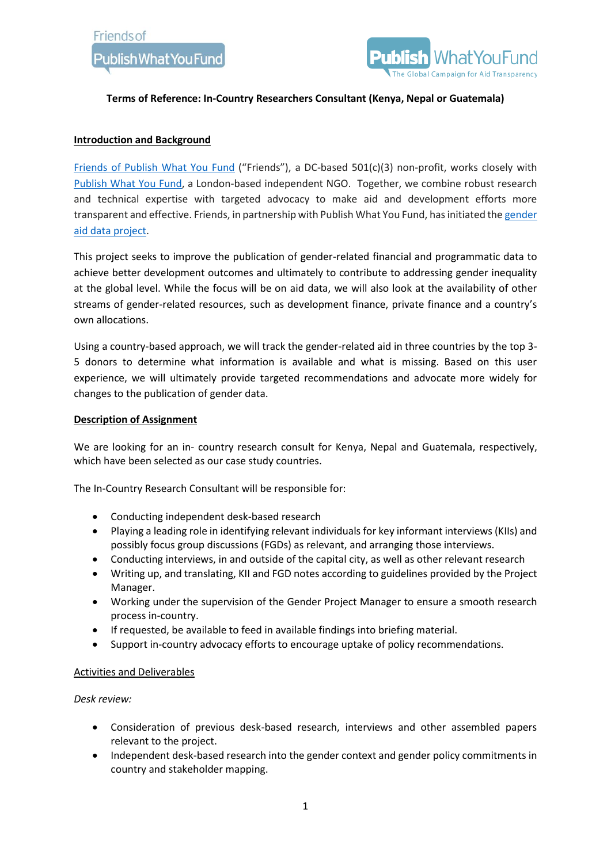

## **Terms of Reference: In-Country Researchers Consultant (Kenya, Nepal or Guatemala)**

## **Introduction and Background**

[Friends](https://www.friendsofpublishwhatyoufund.org/) of Publish What You Fund ("Friends"), a DC-based 501(c)(3) non-profit, works closely with [Publish](https://www.publishwhatyoufund.org/) What You Fund, a London-based independent NGO. Together, we combine robust research and technical expertise with targeted advocacy to make aid and development efforts more transparent and effective. Friends, in partnership with Publish What You Fund, has initiated th[e gender](https://www.friendsofpublishwhatyoufund.org/gender-aid-data)  [aid data project.](https://www.friendsofpublishwhatyoufund.org/gender-aid-data)

This project seeks to improve the publication of gender-related financial and programmatic data to achieve better development outcomes and ultimately to contribute to addressing gender inequality at the global level. While the focus will be on aid data, we will also look at the availability of other streams of gender-related resources, such as development finance, private finance and a country's own allocations.

Using a country-based approach, we will track the gender-related aid in three countries by the top 3- 5 donors to determine what information is available and what is missing. Based on this user experience, we will ultimately provide targeted recommendations and advocate more widely for changes to the publication of gender data.

## **Description of Assignment**

We are looking for an in- country research consult for Kenya, Nepal and Guatemala, respectively, which have been selected as our case study countries.

The In-Country Research Consultant will be responsible for:

- Conducting independent desk-based research
- Playing a leading role in identifying relevant individuals for key informant interviews (KIIs) and possibly focus group discussions (FGDs) as relevant, and arranging those interviews.
- Conducting interviews, in and outside of the capital city, as well as other relevant research
- Writing up, and translating, KII and FGD notes according to guidelines provided by the Project Manager.
- Working under the supervision of the Gender Project Manager to ensure a smooth research process in-country.
- If requested, be available to feed in available findings into briefing material.
- Support in-country advocacy efforts to encourage uptake of policy recommendations.

#### Activities and Deliverables

*Desk review:*

- Consideration of previous desk-based research, interviews and other assembled papers relevant to the project.
- Independent desk-based research into the gender context and gender policy commitments in country and stakeholder mapping.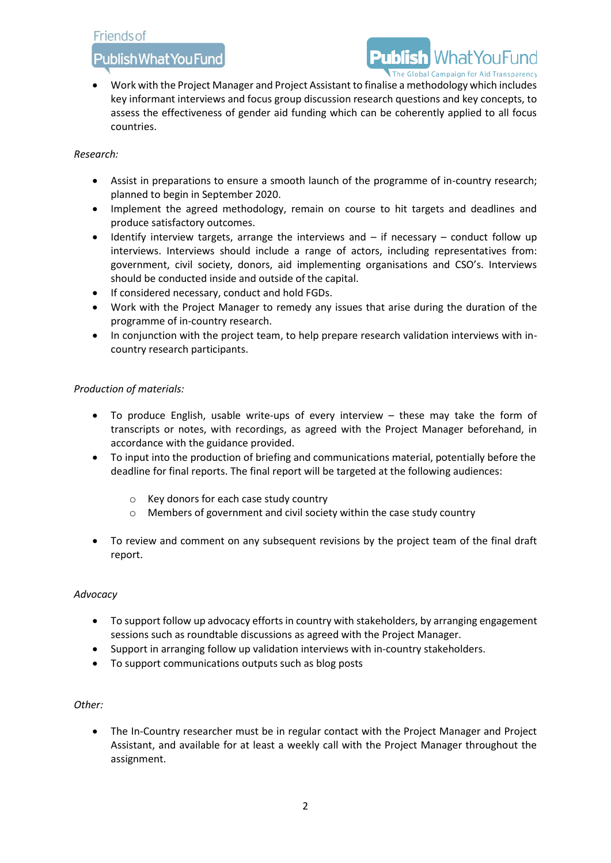## **Friends of**

## Publish What You Fund

# he Global Campaign for Aid Transparency

• Work with the Project Manager and Project Assistant to finalise a methodology which includes key informant interviews and focus group discussion research questions and key concepts, to assess the effectiveness of gender aid funding which can be coherently applied to all focus countries.

## *Research:*

- Assist in preparations to ensure a smooth launch of the programme of in-country research; planned to begin in September 2020.
- Implement the agreed methodology, remain on course to hit targets and deadlines and produce satisfactory outcomes.
- Identify interview targets, arrange the interviews and  $-$  if necessary  $-$  conduct follow up interviews. Interviews should include a range of actors, including representatives from: government, civil society, donors, aid implementing organisations and CSO's. Interviews should be conducted inside and outside of the capital.
- If considered necessary, conduct and hold FGDs.
- Work with the Project Manager to remedy any issues that arise during the duration of the programme of in-country research.
- In conjunction with the project team, to help prepare research validation interviews with incountry research participants.

## *Production of materials:*

- To produce English, usable write-ups of every interview these may take the form of transcripts or notes, with recordings, as agreed with the Project Manager beforehand, in accordance with the guidance provided.
- To input into the production of briefing and communications material, potentially before the deadline for final reports. The final report will be targeted at the following audiences:
	- o Key donors for each case study country
	- o Members of government and civil society within the case study country
- To review and comment on any subsequent revisions by the project team of the final draft report.

## *Advocacy*

- To support follow up advocacy efforts in country with stakeholders, by arranging engagement sessions such as roundtable discussions as agreed with the Project Manager.
- Support in arranging follow up validation interviews with in-country stakeholders.
- To support communications outputs such as blog posts

## *Other:*

• The In-Country researcher must be in regular contact with the Project Manager and Project Assistant, and available for at least a weekly call with the Project Manager throughout the assignment.